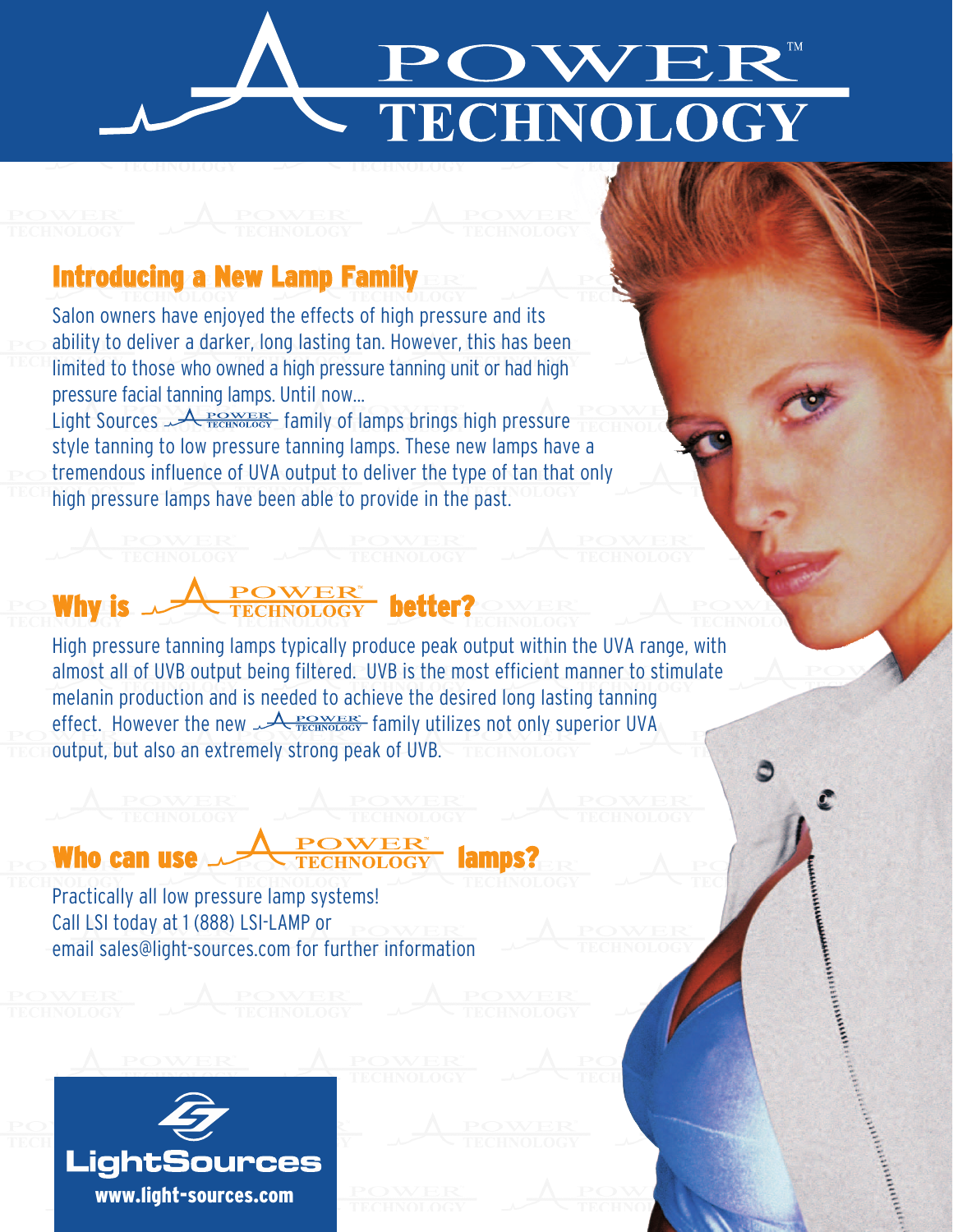

## Introducing a New Lamp Family

Salon owners have enjoyed the effects of high pressure and its ability to deliver a darker, long lasting tan. However, this has been limited to those who owned a high pressure tanning unit or had high pressure facial tanning lamps. Until now...

Light Sources  $\sqrt{R_{\text{TECHNOLOGY}}^{\text{POWER}}}$  family of lamps brings high pressure style tanning to low pressure tanning lamps. These new lamps have a tremendous influence of UVA output to deliver the type of tan that only high pressure lamps have been able to provide in the past.

## High pressure tanning lamps typically produce peak output within the UVA range, with almost all of UVB output being filtered. UVB is the most efficient manner to stimulate melanin production and is needed to achieve the desired long lasting tanning effect. However the new  $A_{\text{TECHNOLOGY}}^{\text{POWER}}$  family utilizes not only superior UVA output, but also an extremely strong peak of UVB.

## Who can use **LATE CHNOLOGY** lamps?

Practically all low pressure lamp systems! Call LSI today at 1 (888) LSI-LAMP or email sales@light-sources.com for further information

Why is  $\sqrt{\frac{1}{TECHNOLOGY}}$  better?